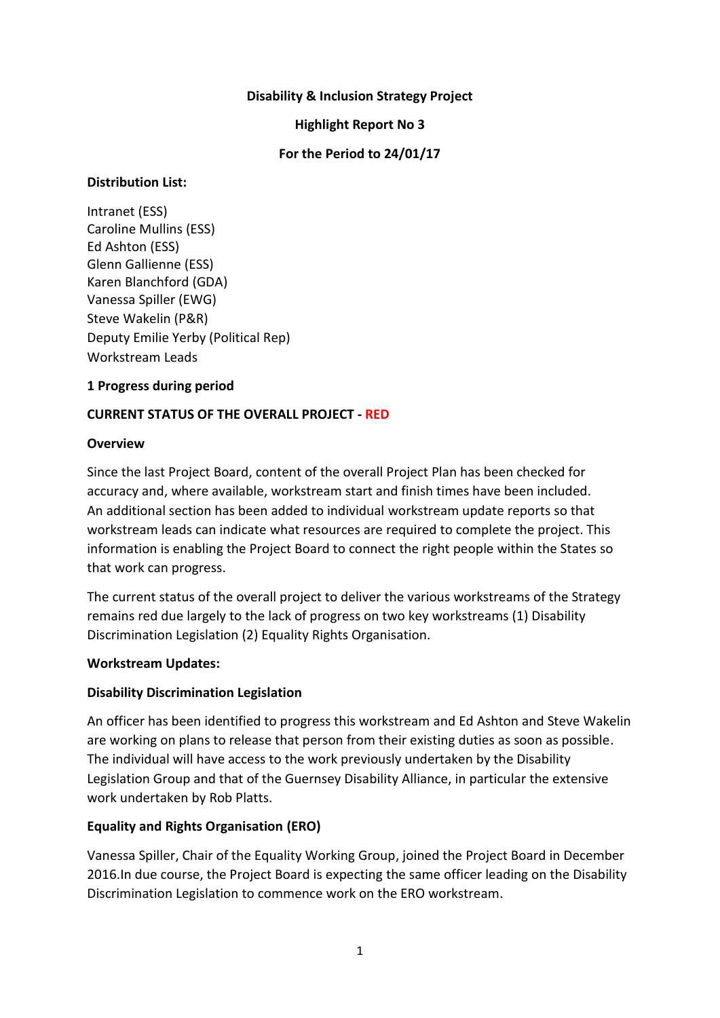### **Disability & Inclusion Strategy Project**

#### **Highlight Report No 3**

### **For the Period to 24/01/17**

### **Distribution List:**

Intranet (ESS) Caroline Mullins (ESS) Ed Ashton (ESS) Glenn Gallienne (ESS) Karen Blanchford (GDA) Vanessa Spiller (EWG) Steve Wakelin (P&R) Deputy Emilie Yerby (Political Rep) Workstream Leads

### **1 Progress during period**

### **CURRENT STATUS OF THE OVERALL PROJECT - RED**

#### **Overview**

Since the last Project Board, content of the overall Project Plan has been checked for accuracy and, where available, workstream start and finish times have been included. An additional section has been added to individual workstream update reports so that workstream leads can indicate what resources are required to complete the project. This information is enabling the Project Board to connect the right people within the States so that work can progress.

The current status of the overall project to deliver the various workstreams of the Strategy remains red due largely to the lack of progress on two key workstreams (1) Disability Discrimination Legislation (2) Equality Rights Organisation.

#### **Workstream Updates:**

#### **Disability Discrimination Legislation**

An officer has been identified to progress this workstream and Ed Ashton and Steve Wakelin are working on plans to release that person from their existing duties as soon as possible. The individual will have access to the work previously undertaken by the Disability Legislation Group and that of the Guernsey Disability Alliance, in particular the extensive work undertaken by Rob Platts.

## **Equality and Rights Organisation (ERO)**

Vanessa Spiller, Chair of the Equality Working Group, joined the Project Board in December 2016.In due course, the Project Board is expecting the same officer leading on the Disability Discrimination Legislation to commence work on the ERO workstream.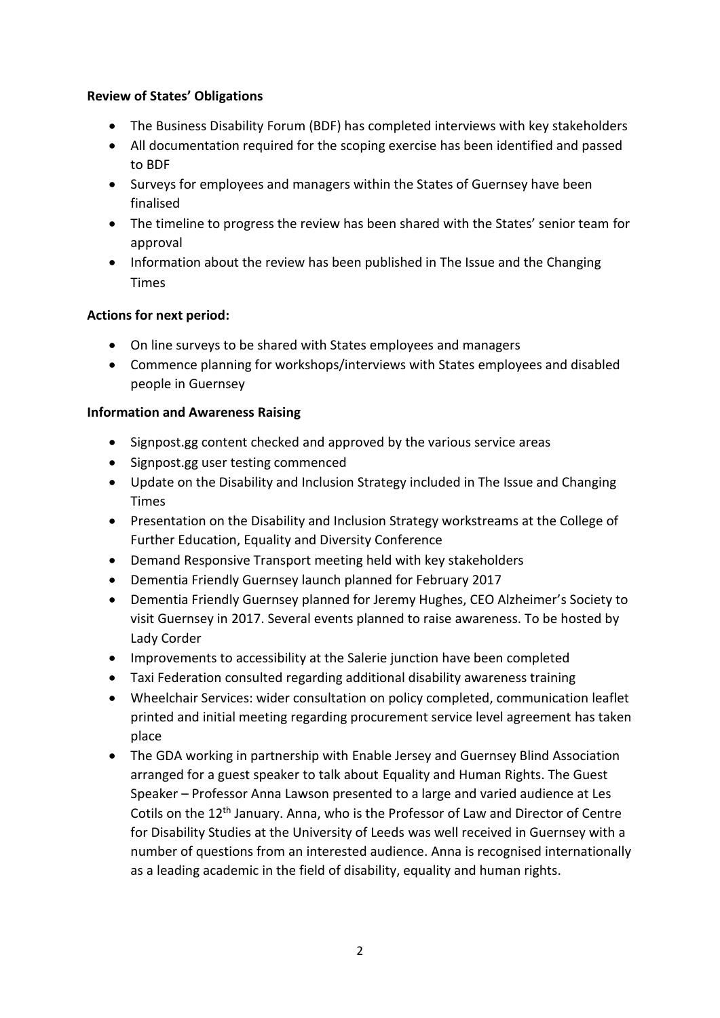## **Review of States' Obligations**

- The Business Disability Forum (BDF) has completed interviews with key stakeholders
- All documentation required for the scoping exercise has been identified and passed to BDF
- Surveys for employees and managers within the States of Guernsey have been finalised
- The timeline to progress the review has been shared with the States' senior team for approval
- Information about the review has been published in The Issue and the Changing Times

## **Actions for next period:**

- On line surveys to be shared with States employees and managers
- Commence planning for workshops/interviews with States employees and disabled people in Guernsey

### **Information and Awareness Raising**

- Signpost.gg content checked and approved by the various service areas
- Signpost.gg user testing commenced
- Update on the Disability and Inclusion Strategy included in The Issue and Changing Times
- Presentation on the Disability and Inclusion Strategy workstreams at the College of Further Education, Equality and Diversity Conference
- Demand Responsive Transport meeting held with key stakeholders
- Dementia Friendly Guernsey launch planned for February 2017
- Dementia Friendly Guernsey planned for Jeremy Hughes, CEO Alzheimer's Society to visit Guernsey in 2017. Several events planned to raise awareness. To be hosted by Lady Corder
- Improvements to accessibility at the Salerie junction have been completed
- Taxi Federation consulted regarding additional disability awareness training
- Wheelchair Services: wider consultation on policy completed, communication leaflet printed and initial meeting regarding procurement service level agreement has taken place
- The GDA working in partnership with Enable Jersey and Guernsey Blind Association arranged for a guest speaker to talk about Equality and Human Rights. The Guest Speaker – Professor Anna Lawson presented to a large and varied audience at Les Cotils on the 12th January. Anna, who is the Professor of Law and Director of Centre for Disability Studies at the University of Leeds was well received in Guernsey with a number of questions from an interested audience. Anna is recognised internationally as a leading academic in the field of disability, equality and human rights.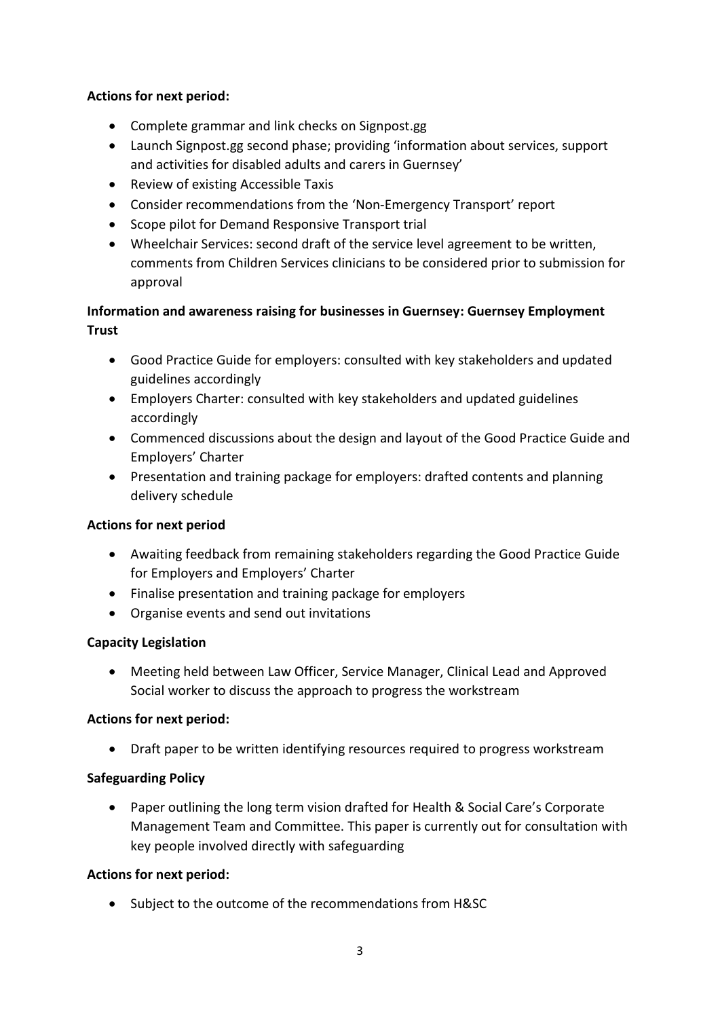## **Actions for next period:**

- Complete grammar and link checks on Signpost.gg
- Launch Signpost.gg second phase; providing 'information about services, support and activities for disabled adults and carers in Guernsey'
- Review of existing Accessible Taxis
- Consider recommendations from the 'Non-Emergency Transport' report
- Scope pilot for Demand Responsive Transport trial
- Wheelchair Services: second draft of the service level agreement to be written, comments from Children Services clinicians to be considered prior to submission for approval

# **Information and awareness raising for businesses in Guernsey: Guernsey Employment Trust**

- Good Practice Guide for employers: consulted with key stakeholders and updated guidelines accordingly
- Employers Charter: consulted with key stakeholders and updated guidelines accordingly
- Commenced discussions about the design and layout of the Good Practice Guide and Employers' Charter
- Presentation and training package for employers: drafted contents and planning delivery schedule

## **Actions for next period**

- Awaiting feedback from remaining stakeholders regarding the Good Practice Guide for Employers and Employers' Charter
- Finalise presentation and training package for employers
- Organise events and send out invitations

## **Capacity Legislation**

 Meeting held between Law Officer, Service Manager, Clinical Lead and Approved Social worker to discuss the approach to progress the workstream

## **Actions for next period:**

Draft paper to be written identifying resources required to progress workstream

## **Safeguarding Policy**

 Paper outlining the long term vision drafted for Health & Social Care's Corporate Management Team and Committee. This paper is currently out for consultation with key people involved directly with safeguarding

#### **Actions for next period:**

• Subject to the outcome of the recommendations from H&SC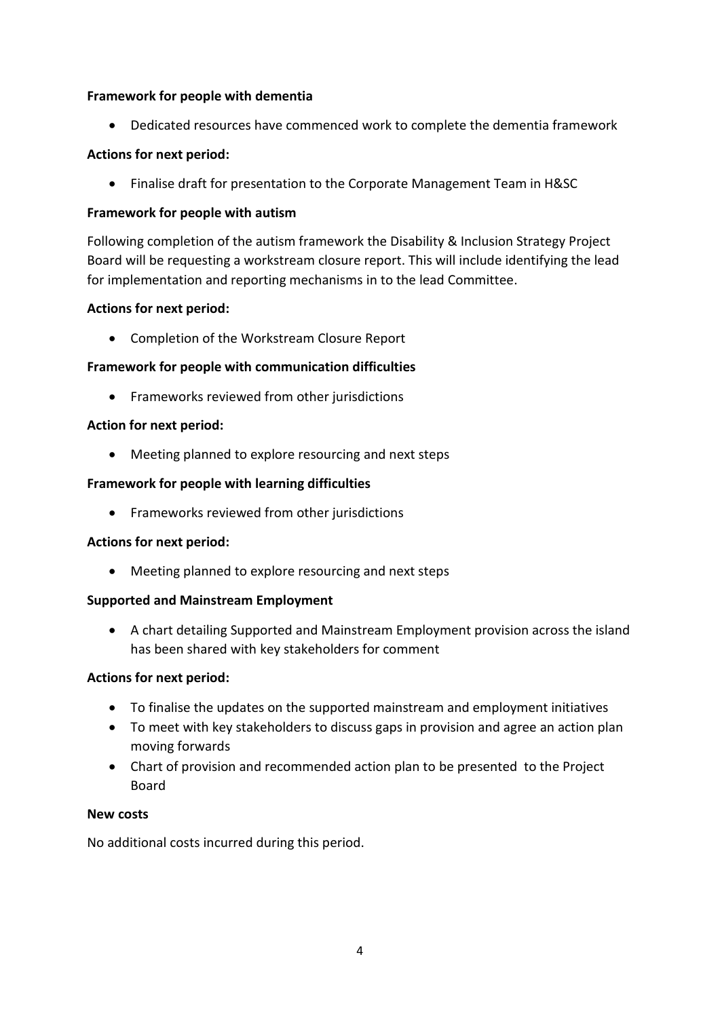## **Framework for people with dementia**

Dedicated resources have commenced work to complete the dementia framework

## **Actions for next period:**

Finalise draft for presentation to the Corporate Management Team in H&SC

### **Framework for people with autism**

Following completion of the autism framework the Disability & Inclusion Strategy Project Board will be requesting a workstream closure report. This will include identifying the lead for implementation and reporting mechanisms in to the lead Committee.

### **Actions for next period:**

Completion of the Workstream Closure Report

### **Framework for people with communication difficulties**

• Frameworks reviewed from other jurisdictions

#### **Action for next period:**

Meeting planned to explore resourcing and next steps

### **Framework for people with learning difficulties**

• Frameworks reviewed from other jurisdictions

#### **Actions for next period:**

Meeting planned to explore resourcing and next steps

#### **Supported and Mainstream Employment**

 A chart detailing Supported and Mainstream Employment provision across the island has been shared with key stakeholders for comment

#### **Actions for next period:**

- To finalise the updates on the supported mainstream and employment initiatives
- To meet with key stakeholders to discuss gaps in provision and agree an action plan moving forwards
- Chart of provision and recommended action plan to be presented to the Project Board

#### **New costs**

No additional costs incurred during this period.